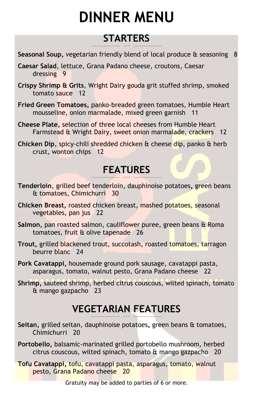# **DINNER MENU**

## **STARTERS**

- **Seasonal Soup,** vegetarian friendly blend of local produce & seasoning 8
- **Caesar Salad**, lettuce, Grana Padano cheese, croutons, Caesar dressing 9
- **Crispy Shrimp & Grits**, Wright Dairy gouda grit stuffed shrimp, smoked tomato sauce 12
- **Fried Green Tomatoes,** panko-breaded green tomatoes, Humble Heart mousseline, onion marmalade, mixed green garnish 11
- **Cheese Plate,** selection of three local cheeses from Humble Heart Farmstead & Wright Dairy, sweet onion marmalade, crackers 12
- **Chicken Dip**, spicy-chili shredded chicken & cheese dip, panko & herb crust, wonton chips 12

## **FEATURES**

- **Tenderloin**, grilled beef tenderloin, dauphinoise potatoes**,** green beans & tomatoes, Chimichurri 30
- **Chicken Breast,** roasted chicken breast, mashed potatoes, seasonal vegetables, pan jus 22
- **Salmon,** pan roasted salmon, cauliflower puree, green beans & Roma tomatoes, fruit & olive tapenade 26
- **Trout,** grilled blackened trout, succotash, roasted tomatoes, tarragon beurre blanc 24
- **Pork Cavatappi,** housemade ground pork sausage, cavatappi pasta, asparagus, tomato, walnut pesto, Grana Padano cheese 22
- **Shrimp,** sauteed shrimp, herbed citrus couscous, wilted spinach, tomato & mango gazpacho 23

## **VEGETARIAN FEATURES**

- **Seitan,** grilled seitan, dauphinoise potatoes**,** green beans & tomatoes, Chimichurri 20
- **Portobello,** balsamic-marinated grilled portobello mushroom, herbed citrus couscous, wilted spinach, tomato & mango gazpacho 20
- **Tofu Cavatappi,** tofu, cavatappi pasta, asparagus, tomato, walnut pesto, Grana Padano cheese 20

Gratuity may be added to parties of 6 or more.